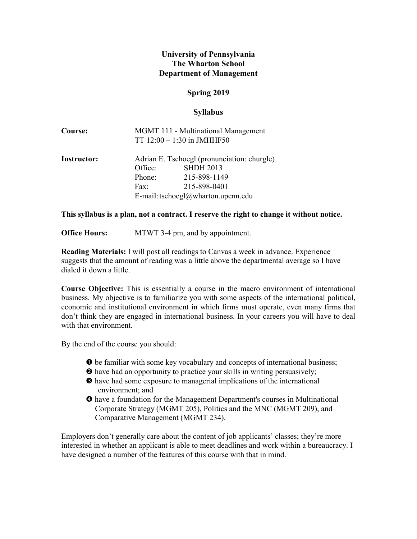## **University of Pennsylvania The Wharton School Department of Management**

## **Spring 2019**

### **Syllabus**

| <b>Course:</b>     |                                             | MGMT 111 - Multinational Management<br>TT $12:00 - 1:30$ in JMHHF50 |
|--------------------|---------------------------------------------|---------------------------------------------------------------------|
| <b>Instructor:</b> | Adrian E. Tschoegl (pronunciation: churgle) |                                                                     |
|                    | Office:                                     | <b>SHDH 2013</b>                                                    |
|                    | Phone:                                      | 215-898-1149                                                        |
|                    | Fax:                                        | 215-898-0401                                                        |
|                    | E-mail: tschoegl@wharton.upenn.edu          |                                                                     |

#### **This syllabus is a plan, not a contract. I reserve the right to change it without notice.**

**Office Hours:** MTWT 3-4 pm, and by appointment.

**Reading Materials:** I will post all readings to Canvas a week in advance. Experience suggests that the amount of reading was a little above the departmental average so I have dialed it down a little.

**Course Objective:** This is essentially a course in the macro environment of international business. My objective is to familiarize you with some aspects of the international political, economic and institutional environment in which firms must operate, even many firms that don't think they are engaged in international business. In your careers you will have to deal with that environment.

By the end of the course you should:

- $\bullet$  be familiar with some key vocabulary and concepts of international business;
- have had an opportunity to practice your skills in writing persuasively;
- have had some exposure to managerial implications of the international environment; and
- have a foundation for the Management Department's courses in Multinational Corporate Strategy (MGMT 205), Politics and the MNC (MGMT 209), and Comparative Management (MGMT 234).

Employers don't generally care about the content of job applicants' classes; they're more interested in whether an applicant is able to meet deadlines and work within a bureaucracy. I have designed a number of the features of this course with that in mind.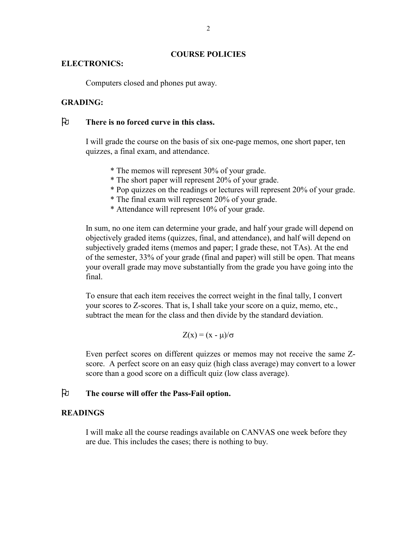#### **COURSE POLICIES**

#### **ELECTRONICS:**

Computers closed and phones put away.

### **GRADING:**

# **There is no forced curve in this class.**

I will grade the course on the basis of six one-page memos, one short paper, ten quizzes, a final exam, and attendance.

- \* The memos will represent 30% of your grade.
- \* The short paper will represent 20% of your grade.
- \* Pop quizzes on the readings or lectures will represent 20% of your grade.
- \* The final exam will represent 20% of your grade.
- \* Attendance will represent 10% of your grade.

In sum, no one item can determine your grade, and half your grade will depend on objectively graded items (quizzes, final, and attendance), and half will depend on subjectively graded items (memos and paper; I grade these, not TAs). At the end of the semester, 33% of your grade (final and paper) will still be open. That means your overall grade may move substantially from the grade you have going into the final.

To ensure that each item receives the correct weight in the final tally, I convert your scores to Z-scores. That is, I shall take your score on a quiz, memo, etc., subtract the mean for the class and then divide by the standard deviation.

$$
Z(x) = (x - \mu)/\sigma
$$

Even perfect scores on different quizzes or memos may not receive the same Zscore. A perfect score on an easy quiz (high class average) may convert to a lower score than a good score on a difficult quiz (low class average).

### **The course will offer the Pass-Fail option.**

#### **READINGS**

I will make all the course readings available on CANVAS one week before they are due. This includes the cases; there is nothing to buy.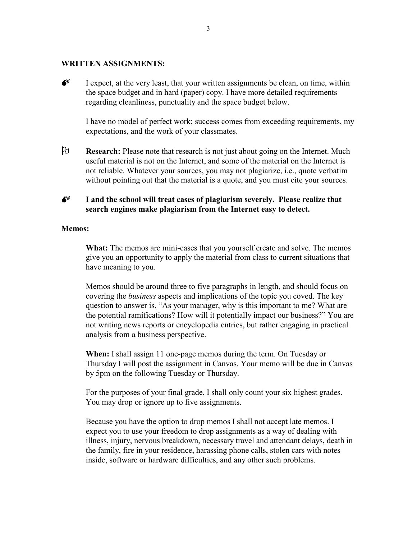#### **WRITTEN ASSIGNMENTS:**

 $\bullet^*$  I expect, at the very least, that your written assignments be clean, on time, within the space budget and in hard (paper) copy. I have more detailed requirements regarding cleanliness, punctuality and the space budget below.

I have no model of perfect work; success comes from exceeding requirements, my expectations, and the work of your classmates.

 **Research:** Please note that research is not just about going on the Internet. Much useful material is not on the Internet, and some of the material on the Internet is not reliable. Whatever your sources, you may not plagiarize, i.e., quote verbatim without pointing out that the material is a quote, and you must cite your sources.

# **I and the school will treat cases of plagiarism severely. Please realize that search engines make plagiarism from the Internet easy to detect.**

#### **Memos:**

**What:** The memos are mini-cases that you yourself create and solve. The memos give you an opportunity to apply the material from class to current situations that have meaning to you.

Memos should be around three to five paragraphs in length, and should focus on covering the *business* aspects and implications of the topic you coved. The key question to answer is, "As your manager, why is this important to me? What are the potential ramifications? How will it potentially impact our business?" You are not writing news reports or encyclopedia entries, but rather engaging in practical analysis from a business perspective.

**When:** I shall assign 11 one-page memos during the term. On Tuesday or Thursday I will post the assignment in Canvas. Your memo will be due in Canvas by 5pm on the following Tuesday or Thursday.

For the purposes of your final grade, I shall only count your six highest grades. You may drop or ignore up to five assignments.

Because you have the option to drop memos I shall not accept late memos. I expect you to use your freedom to drop assignments as a way of dealing with illness, injury, nervous breakdown, necessary travel and attendant delays, death in the family, fire in your residence, harassing phone calls, stolen cars with notes inside, software or hardware difficulties, and any other such problems.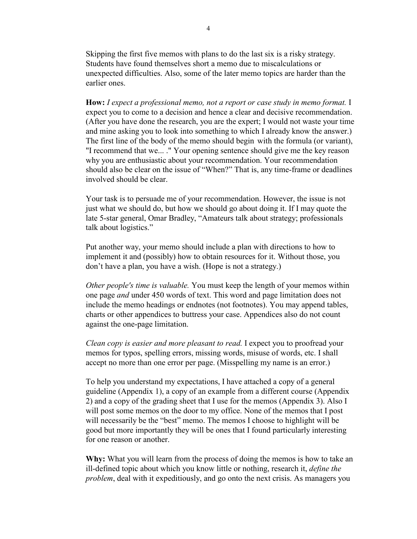Skipping the first five memos with plans to do the last six is a risky strategy. Students have found themselves short a memo due to miscalculations or unexpected difficulties. Also, some of the later memo topics are harder than the earlier ones.

**How:** *I expect a professional memo, not a report or case study in memo format.* I expect you to come to a decision and hence a clear and decisive recommendation. (After you have done the research, you are the expert; I would not waste your time and mine asking you to look into something to which I already know the answer.) The first line of the body of the memo should begin with the formula (or variant), "I recommend that we... ." Your opening sentence should give me the key reason why you are enthusiastic about your recommendation. Your recommendation should also be clear on the issue of "When?" That is, any time-frame or deadlines involved should be clear.

Your task is to persuade me of your recommendation. However, the issue is not just what we should do, but how we should go about doing it. If I may quote the late 5-star general, Omar Bradley, "Amateurs talk about strategy; professionals talk about logistics."

Put another way, your memo should include a plan with directions to how to implement it and (possibly) how to obtain resources for it. Without those, you don't have a plan, you have a wish. (Hope is not a strategy.)

*Other people's time is valuable.* You must keep the length of your memos within one page *and* under 450 words of text. This word and page limitation does not include the memo headings or endnotes (not footnotes). You may append tables, charts or other appendices to buttress your case. Appendices also do not count against the one-page limitation.

*Clean copy is easier and more pleasant to read.* I expect you to proofread your memos for typos, spelling errors, missing words, misuse of words, etc. I shall accept no more than one error per page. (Misspelling my name is an error.)

To help you understand my expectations, I have attached a copy of a general guideline (Appendix 1), a copy of an example from a different course (Appendix 2) and a copy of the grading sheet that I use for the memos (Appendix 3). Also I will post some memos on the door to my office. None of the memos that I post will necessarily be the "best" memo. The memos I choose to highlight will be good but more importantly they will be ones that I found particularly interesting for one reason or another.

**Why:** What you will learn from the process of doing the memos is how to take an ill-defined topic about which you know little or nothing, research it, *define the problem*, deal with it expeditiously, and go onto the next crisis. As managers you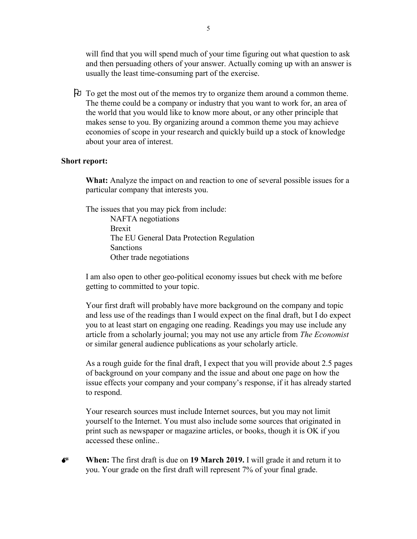will find that you will spend much of your time figuring out what question to ask and then persuading others of your answer. Actually coming up with an answer is usually the least time-consuming part of the exercise.

 To get the most out of the memos try to organize them around a common theme. The theme could be a company or industry that you want to work for, an area of the world that you would like to know more about, or any other principle that makes sense to you. By organizing around a common theme you may achieve economies of scope in your research and quickly build up a stock of knowledge about your area of interest.

#### **Short report:**

**What:** Analyze the impact on and reaction to one of several possible issues for a particular company that interests you.

The issues that you may pick from include:

NAFTA negotiations Brexit The EU General Data Protection Regulation Sanctions Other trade negotiations

I am also open to other geo-political economy issues but check with me before getting to committed to your topic.

Your first draft will probably have more background on the company and topic and less use of the readings than I would expect on the final draft, but I do expect you to at least start on engaging one reading. Readings you may use include any article from a scholarly journal; you may not use any article from *The Economist* or similar general audience publications as your scholarly article.

As a rough guide for the final draft, I expect that you will provide about 2.5 pages of background on your company and the issue and about one page on how the issue effects your company and your company's response, if it has already started to respond.

Your research sources must include Internet sources, but you may not limit yourself to the Internet. You must also include some sources that originated in print such as newspaper or magazine articles, or books, though it is OK if you accessed these online..

 **When:** The first draft is due on **19 March 2019.** I will grade it and return it to you. Your grade on the first draft will represent 7% of your final grade.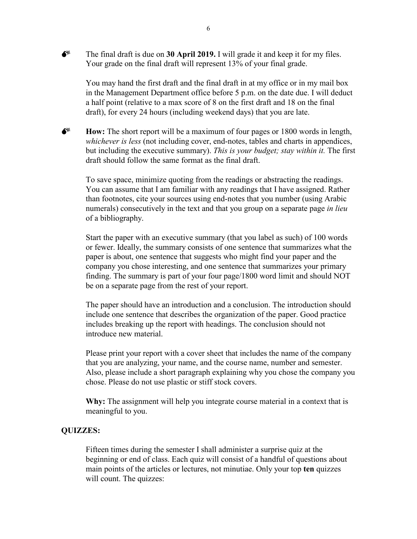$\bullet^*$  The final draft is due on **30 April 2019.** I will grade it and keep it for my files. Your grade on the final draft will represent 13% of your final grade.

You may hand the first draft and the final draft in at my office or in my mail box in the Management Department office before 5 p.m. on the date due. I will deduct a half point (relative to a max score of 8 on the first draft and 18 on the final draft), for every 24 hours (including weekend days) that you are late.

**Fig. 3** How: The short report will be a maximum of four pages or 1800 words in length, *whichever is less* (not including cover, end-notes, tables and charts in appendices, but including the executive summary). *This is your budget; stay within it.* The first draft should follow the same format as the final draft.

To save space, minimize quoting from the readings or abstracting the readings. You can assume that I am familiar with any readings that I have assigned. Rather than footnotes, cite your sources using end-notes that you number (using Arabic numerals) consecutively in the text and that you group on a separate page *in lieu* of a bibliography.

Start the paper with an executive summary (that you label as such) of 100 words or fewer. Ideally, the summary consists of one sentence that summarizes what the paper is about, one sentence that suggests who might find your paper and the company you chose interesting, and one sentence that summarizes your primary finding. The summary is part of your four page/1800 word limit and should NOT be on a separate page from the rest of your report.

The paper should have an introduction and a conclusion. The introduction should include one sentence that describes the organization of the paper. Good practice includes breaking up the report with headings. The conclusion should not introduce new material.

Please print your report with a cover sheet that includes the name of the company that you are analyzing, your name, and the course name, number and semester. Also, please include a short paragraph explaining why you chose the company you chose. Please do not use plastic or stiff stock covers.

**Why:** The assignment will help you integrate course material in a context that is meaningful to you.

#### **QUIZZES:**

Fifteen times during the semester I shall administer a surprise quiz at the beginning or end of class. Each quiz will consist of a handful of questions about main points of the articles or lectures, not minutiae. Only your top **ten** quizzes will count. The quizzes: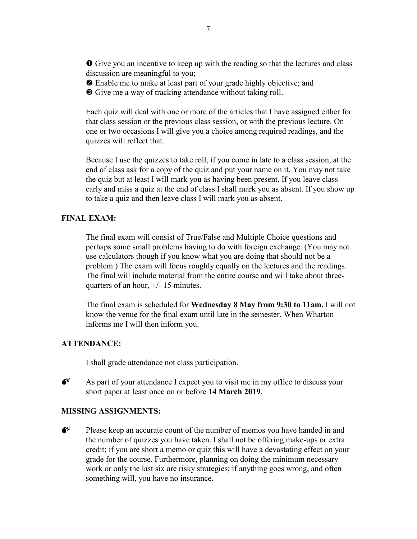Give you an incentive to keep up with the reading so that the lectures and class discussion are meaningful to you;

Enable me to make at least part of your grade highly objective; and

Give me a way of tracking attendance without taking roll.

Each quiz will deal with one or more of the articles that I have assigned either for that class session or the previous class session, or with the previous lecture. On one or two occasions I will give you a choice among required readings, and the quizzes will reflect that.

Because I use the quizzes to take roll, if you come in late to a class session, at the end of class ask for a copy of the quiz and put your name on it. You may not take the quiz but at least I will mark you as having been present. If you leave class early and miss a quiz at the end of class I shall mark you as absent. If you show up to take a quiz and then leave class I will mark you as absent.

### **FINAL EXAM:**

The final exam will consist of True/False and Multiple Choice questions and perhaps some small problems having to do with foreign exchange. (You may not use calculators though if you know what you are doing that should not be a problem.) The exam will focus roughly equally on the lectures and the readings. The final will include material from the entire course and will take about threequarters of an hour, +/- 15 minutes.

The final exam is scheduled for **Wednesday 8 May from 9:30 to 11am.** I will not know the venue for the final exam until late in the semester. When Wharton informs me I will then inform you.

#### **ATTENDANCE:**

I shall grade attendance not class participation.



 $\bullet^*$  As part of your attendance I expect you to visit me in my office to discuss your short paper at least once on or before **14 March 2019**.

#### **MISSING ASSIGNMENTS:**



Please keep an accurate count of the number of memos you have handed in and the number of quizzes you have taken. I shall not be offering make-ups or extra credit; if you are short a memo or quiz this will have a devastating effect on your grade for the course. Furthermore, planning on doing the minimum necessary work or only the last six are risky strategies; if anything goes wrong, and often something will, you have no insurance.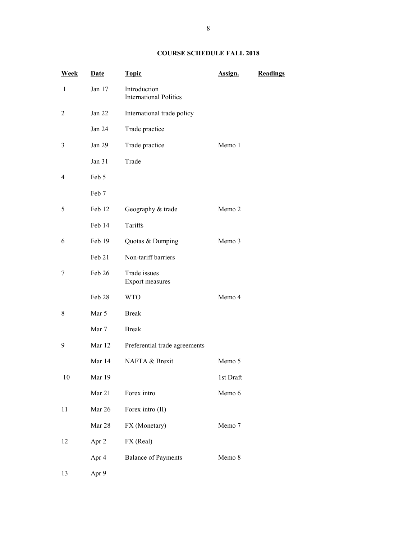#### **COURSE SCHEDULE FALL 2018**

| <b>Week</b>    | <b>Date</b> | <b>Topic</b>                                  | Assign.   | Readings |
|----------------|-------------|-----------------------------------------------|-----------|----------|
| $\mathbf{1}$   | Jan 17      | Introduction<br><b>International Politics</b> |           |          |
| $\overline{c}$ | Jan 22      | International trade policy                    |           |          |
|                | Jan 24      | Trade practice                                |           |          |
| 3              | Jan 29      | Trade practice                                | Memo 1    |          |
|                | Jan 31      | Trade                                         |           |          |
| 4              | Feb 5       |                                               |           |          |
|                | Feb 7       |                                               |           |          |
| 5              | Feb 12      | Geography & trade                             | Memo 2    |          |
|                | Feb 14      | Tariffs                                       |           |          |
| 6              | Feb 19      | Quotas & Dumping                              | Memo 3    |          |
|                | Feb 21      | Non-tariff barriers                           |           |          |
| 7              | Feb 26      | Trade issues<br>Export measures               |           |          |
|                | Feb 28      | <b>WTO</b>                                    | Memo 4    |          |
| 8              | Mar 5       | <b>Break</b>                                  |           |          |
|                | Mar 7       | <b>Break</b>                                  |           |          |
| 9              | Mar 12      | Preferential trade agreements                 |           |          |
|                | Mar 14      | NAFTA & Brexit                                | Memo 5    |          |
| 10             | Mar 19      |                                               | 1st Draft |          |
|                | Mar 21      | Forex intro                                   | Memo 6    |          |
| 11             | Mar 26      | Forex intro (II)                              |           |          |
|                | Mar 28      | FX (Monetary)                                 | Memo 7    |          |
| 12             | Apr 2       | FX (Real)                                     |           |          |
|                | Apr 4       | <b>Balance of Payments</b>                    | Memo 8    |          |
| 13             | Apr 9       |                                               |           |          |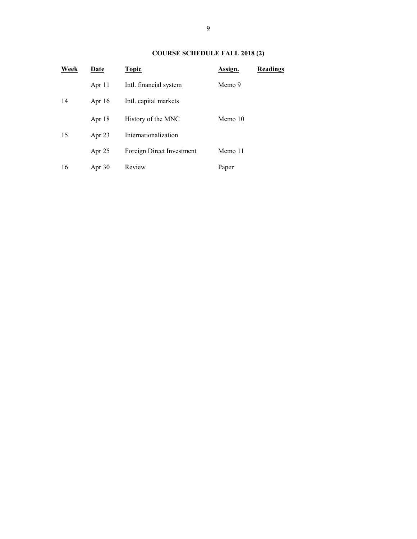### **COURSE SCHEDULE FALL 2018 (2)**

| Week | Date     | <b>Topic</b>              | Assign. | <b>Readings</b> |
|------|----------|---------------------------|---------|-----------------|
|      | Apr 11   | Intl. financial system    | Memo 9  |                 |
| 14   | Apr $16$ | Intl. capital markets     |         |                 |
|      | Apr 18   | History of the MNC        | Memo 10 |                 |
| 15   | Apr $23$ | Internationalization      |         |                 |
|      | Apr $25$ | Foreign Direct Investment | Memo 11 |                 |
| 16   | Apr $30$ | Review                    | Paper   |                 |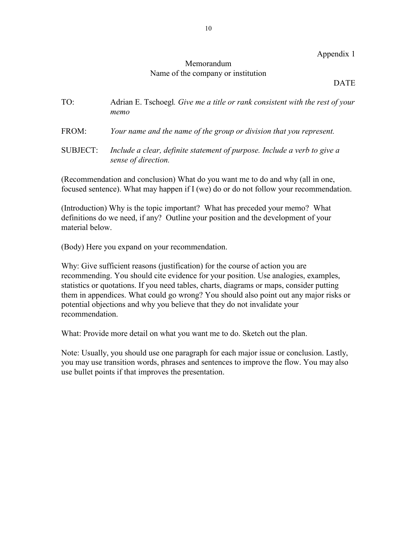#### Appendix 1

## Memorandum Name of the company or institution

#### DATE

| TO: | Adrian E. Tschoegl. Give me a title or rank consistent with the rest of your |
|-----|------------------------------------------------------------------------------|
|     | тето                                                                         |

- FROM: *Your name and the name of the group or division that you represent.*
- SUBJECT: *Include a clear, definite statement of purpose. Include a verb to give a sense of direction.*

(Recommendation and conclusion) What do you want me to do and why (all in one, focused sentence). What may happen if I (we) do or do not follow your recommendation.

(Introduction) Why is the topic important? What has preceded your memo? What definitions do we need, if any? Outline your position and the development of your material below.

(Body) Here you expand on your recommendation.

Why: Give sufficient reasons (justification) for the course of action you are recommending. You should cite evidence for your position. Use analogies, examples, statistics or quotations. If you need tables, charts, diagrams or maps, consider putting them in appendices. What could go wrong? You should also point out any major risks or potential objections and why you believe that they do not invalidate your recommendation.

What: Provide more detail on what you want me to do. Sketch out the plan.

Note: Usually, you should use one paragraph for each major issue or conclusion. Lastly, you may use transition words, phrases and sentences to improve the flow. You may also use bullet points if that improves the presentation.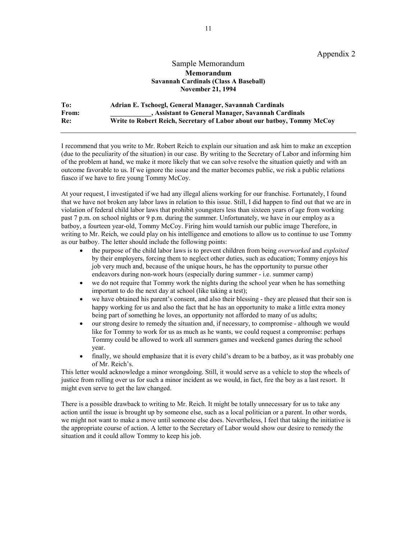Appendix 2

#### Sample Memorandum **Memorandum Savannah Cardinals (Class A Baseball) November 21, 1994**

**To: Adrian E. Tschoegl, General Manager, Savannah Cardinals From: \_\_\_\_\_\_\_\_\_\_\_\_, Assistant to General Manager, Savannah Cardinals Re: Write to Robert Reich, Secretary of Labor about our batboy, Tommy McCoy**

I recommend that you write to Mr. Robert Reich to explain our situation and ask him to make an exception (due to the peculiarity of the situation) in our case. By writing to the Secretary of Labor and informing him of the problem at hand, we make it more likely that we can solve resolve the situation quietly and with an outcome favorable to us. If we ignore the issue and the matter becomes public, we risk a public relations fiasco if we have to fire young Tommy McCoy.

At your request, I investigated if we had any illegal aliens working for our franchise. Fortunately, I found that we have not broken any labor laws in relation to this issue. Still, I did happen to find out that we are in violation of federal child labor laws that prohibit youngsters less than sixteen years of age from working past 7 p.m. on school nights or 9 p.m. during the summer. Unfortunately, we have in our employ as a batboy, a fourteen year-old, Tommy McCoy. Firing him would tarnish our public image Therefore, in writing to Mr. Reich, we could play on his intelligence and emotions to allow us to continue to use Tommy as our batboy. The letter should include the following points:

- the purpose of the child labor laws is to prevent children from being *overworked* and *exploited* by their employers, forcing them to neglect other duties, such as education; Tommy enjoys his job very much and, because of the unique hours, he has the opportunity to pursue other endeavors during non-work hours (especially during summer - i.e. summer camp)
- we do not require that Tommy work the nights during the school year when he has something important to do the next day at school (like taking a test);
- we have obtained his parent's consent, and also their blessing they are pleased that their son is happy working for us and also the fact that he has an opportunity to make a little extra money being part of something he loves, an opportunity not afforded to many of us adults;
- our strong desire to remedy the situation and, if necessary, to compromise although we would like for Tommy to work for us as much as he wants, we could request a compromise: perhaps Tommy could be allowed to work all summers games and weekend games during the school year.
- finally, we should emphasize that it is every child's dream to be a batboy, as it was probably one of Mr. Reich's.

This letter would acknowledge a minor wrongdoing. Still, it would serve as a vehicle to stop the wheels of justice from rolling over us for such a minor incident as we would, in fact, fire the boy as a last resort. It might even serve to get the law changed.

There is a possible drawback to writing to Mr. Reich. It might be totally unnecessary for us to take any action until the issue is brought up by someone else, such as a local politician or a parent. In other words, we might not want to make a move until someone else does. Nevertheless, I feel that taking the initiative is the appropriate course of action. A letter to the Secretary of Labor would show our desire to remedy the situation and it could allow Tommy to keep his job.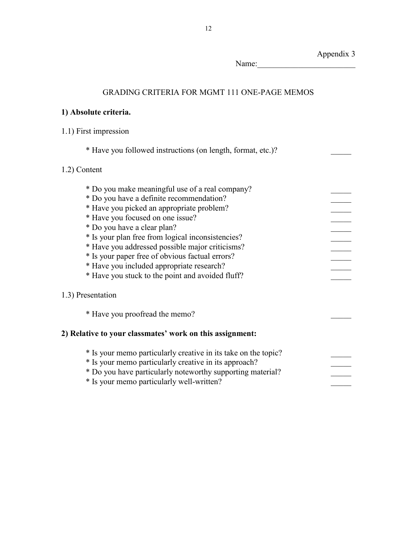Appendix 3 Name:

# GRADING CRITERIA FOR MGMT 111 ONE-PAGE MEMOS

# **1) Absolute criteria.**

# 1.1) First impression

\* Have you followed instructions (on length, format, etc.)? \_\_\_\_\_

# 1.2) Content

| * Do you make meaningful use of a real company?                |  |
|----------------------------------------------------------------|--|
| * Do you have a definite recommendation?                       |  |
| * Have you picked an appropriate problem?                      |  |
| * Have you focused on one issue?                               |  |
| * Do you have a clear plan?                                    |  |
| * Is your plan free from logical inconsistencies?              |  |
| * Have you addressed possible major criticisms?                |  |
| * Is your paper free of obvious factual errors?                |  |
| * Have you included appropriate research?                      |  |
| * Have you stuck to the point and avoided fluff?               |  |
|                                                                |  |
| 1.3) Presentation                                              |  |
|                                                                |  |
| * Have you proofread the memo?                                 |  |
|                                                                |  |
| 2) Relative to your classmates' work on this assignment:       |  |
|                                                                |  |
| * Is your memo particularly creative in its take on the topic? |  |
| * Is your memo particularly creative in its approach?          |  |
| * Do you have particularly noteworthy supporting material?     |  |
| * Is your memo particularly well-written?                      |  |
|                                                                |  |